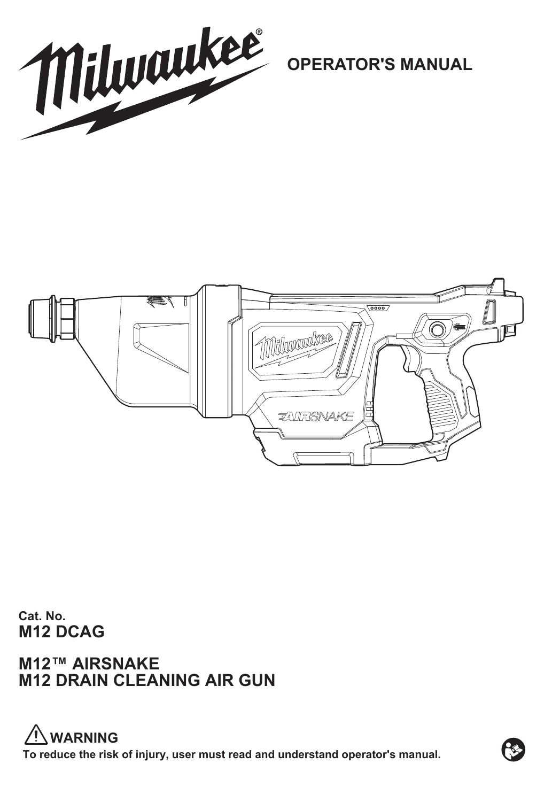

**OPERATOR'S MANUAL**



**Cat. No. M12 DCAG**

**M12™ AIRSNAKE M12 DRAIN CLEANING AIR GUN**

**To reduce the risk of injury, user must read and understand operator's manual. WARNING**

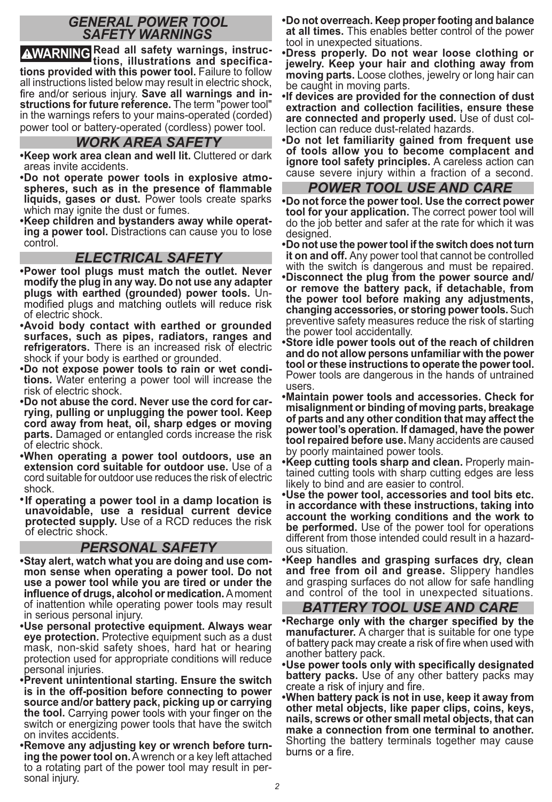## *GENERAL POWER TOOL SAFETY WARNINGS*

**WARNING Read all safety warnings, instruc-tions, illustrations and specifications provided with this power tool.** Failure to follow all instructions listed below may result in electric shock, fire and/or serious injury. Save all warnings and in**structions for future reference.** The term "power tool" in the warnings refers to your mains-operated (corded) power tool or battery-operated (cordless) power tool.

## *WORK AREA SAFETY*

- **Keep work area clean and well lit.** Cluttered or dark areas invite accidents.
- **Do not operate power tools in explosive atmoliquids, gases or dust.** Power tools create sparks which may ignite the dust or fumes.
- **Keep children and bystanders away while operating a power tool.** Distractions can cause you to lose control.

### *ELECTRICAL SAFETY*

- **Power tool plugs must match the outlet. Never modify the plug in any way. Do not use any adapter plugs with earthed (grounded) power tools.** Unmodified plugs and matching outlets will reduce risk of electric shock.
- **Avoid body contact with earthed or grounded surfaces, such as pipes, radiators, ranges and refrigerators.** There is an increased risk of electric shock if your body is earthed or grounded.
- **Do not expose power tools to rain or wet conditions.** Water entering a power tool will increase the risk of electric shock.
- **Do not abuse the cord. Never use the cord for carrying, pulling or unplugging the power tool. Keep cord away from heat, oil, sharp edges or moving parts.** Damaged or entangled cords increase the risk of electric shock.
- **When operating a power tool outdoors, use an extension cord suitable for outdoor use.** Use of a cord suitable for outdoor use reduces the risk of electric shock.
- **If operating a power tool in a damp location is unavoidable, use a residual current device protected supply.** Use of a RCD reduces the risk of electric shock.

### *PERSONAL SAFETY*

- **Stay alert, watch what you are doing and use common sense when operating a power tool. Do not use a power tool while you are tired or under the**  influence of drugs, alcohol or medication. A moment of inattention while operating power tools may result in serious personal injury.
- **Use personal protective equipment. Always wear eye protection.** Protective equipment such as a dust mask, non-skid safety shoes, hard hat or hearing protection used for appropriate conditions will reduce personal injuries.
- **Prevent unintentional starting. Ensure the switch is in the off-position before connecting to power source and/or battery pack, picking up or carrying the tool.** Carrying power tools with your finger on the switch or energizing power tools that have the switch on invites accidents.
- **Remove any adjusting key or wrench before turning the power tool on.** A wrench or a key left attached to a rotating part of the power tool may result in personal injury.
- **Do not overreach. Keep proper footing and balance at all times.** This enables better control of the power tool in unexpected situations.
- **Dress properly. Do not wear loose clothing or jewelry. Keep your hair and clothing away from moving parts.** Loose clothes, jewelry or long hair can be caught in moving parts.
- **If devices are provided for the connection of dust extraction and collection facilities, ensure these are connected and properly used.** Use of dust collection can reduce dust-related hazards.
- **Do not let familiarity gained from frequent use of tools allow you to become complacent and ignore tool safety principles.** A careless action can cause severe injury within a fraction of a second.

### *POWER TOOL USE AND CARE*

- **Do not force the power tool. Use the correct power tool for your application.** The correct power tool will do the job better and safer at the rate for which it was designed.
- **Do not use the power tool if the switch does not turn it on and off.** Any power tool that cannot be controlled with the switch is dangerous and must be repaired.
- **Disconnect the plug from the power source and/ or remove the battery pack, if detachable, from the power tool before making any adjustments, changing accessories, or storing power tools.** Such preventive safety measures reduce the risk of starting the power tool accidentally.
- **Store idle power tools out of the reach of children and do not allow persons unfamiliar with the power tool or these instructions to operate the power tool.**  Power tools are dangerous in the hands of untrained users.
- **Maintain power tools and accessories. Check for misalignment or binding of moving parts, breakage of parts and any other condition that may affect the power tool's operation. If damaged, have the power tool repaired before use.** Many accidents are caused by poorly maintained power tools.
- **Keep cutting tools sharp and clean.** Properly maintained cutting tools with sharp cutting edges are less likely to bind and are easier to control.
- **Use the power tool, accessories and tool bits etc. in accordance with these instructions, taking into account the working conditions and the work to be performed.** Use of the power tool for operations different from those intended could result in a hazardous situation.
- **Keep handles and grasping surfaces dry, clean and free from oil and grease.** Slippery handles and grasping surfaces do not allow for safe handling and control of the tool in unexpected situations.

# *BATTERY TOOL USE AND CARE*

- **Recharge only with the charger specified by the manufacturer.** A charger that is suitable for one type of battery pack may create a risk of fire when used with another battery pack.
- . Use power tools only with specifically designated **battery packs.** Use of any other battery packs may create a risk of injury and fire.
- **When battery pack is not in use, keep it away from other metal objects, like paper clips, coins, keys, nails, screws or other small metal objects, that can make a connection from one terminal to another.**  Shorting the battery terminals together may cause burns or a fire.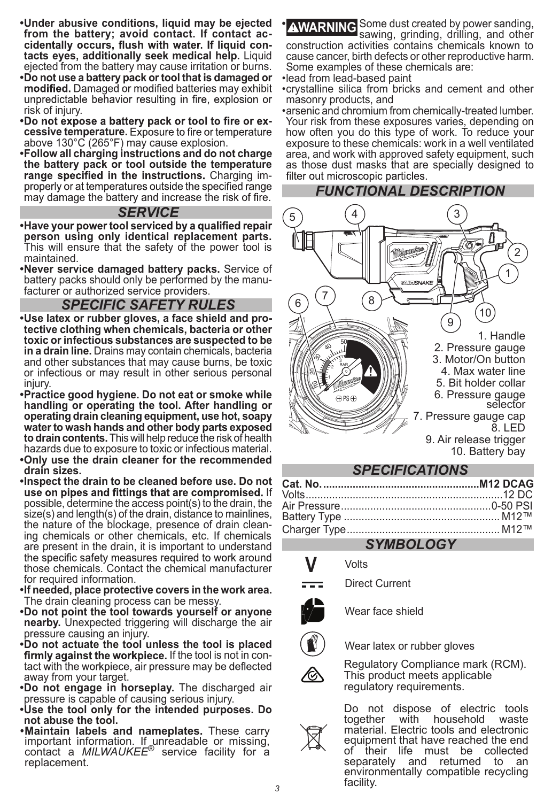- **Under abusive conditions, liquid may be ejected**  cidentally occurs, flush with water. If liquid con**tacts eyes, additionally seek medical help.** Liquid ejected from the battery may cause irritation or burns.
- **Do not use a battery pack or tool that is damaged or**  unpredictable behavior resulting in fire, explosion or risk of injury.
- .Do not expose a battery pack or tool to fire or ex**cessive temperature.**  above 130°C (265°F) may cause explosion.
- **Follow all charging instructions and do not charge the battery pack or tool outside the temperature**  range specified in the instructions. Charging im-<br>properly or at temperatures outside the specified range may damage the battery and increase the risk of fire.

#### *SERVICE*

- **·Have your power tool serviced by a qualified repair person using only identical replacement parts.**  This will ensure that the safety of the power tool is maintained.
- **Never service damaged battery packs.** Service of battery packs should only be performed by the manufacturer or authorized service providers.

# *SPECIFIC SAFETY RULES*

- **Use latex or rubber gloves, a face shield and protective clothing when chemicals, bacteria or other toxic or infectious substances are suspected to be in a drain line.** Drains may contain chemicals, bacteria and other substances that may cause burns, be toxic or infectious or may result in other serious personal iniurv
- **Practice good hygiene. Do not eat or smoke while handling or operating the tool. After handling or operating drain cleaning equipment, use hot, soapy water to wash hands and other body parts exposed to drain contents.** This will help reduce the risk of health hazards due to exposure to toxic or infectious material.
- **Only use the drain cleaner for the recommended drain sizes.**
- **Inspect the drain to be cleaned before use. Do not**  use on pipes and fittings that are compromised. If possible, determine the access point(s) to the drain, the size(s) and length(s) of the drain, distance to mainlines, the nature of the blockage, presence of drain cleaning chemicals or other chemicals, etc. If chemicals are present in the drain, it is important to understand the specific safety measures required to work around those chemicals. Contact the chemical manufacturer for required information.
- **If needed, place protective covers in the work area.** The drain cleaning process can be messy.
- **Do not point the tool towards yourself or anyone nearby.** Unexpected triggering will discharge the air pressure causing an injury.
- **Do not actuate the tool unless the tool is placed firmly against the workpiece.** If the tool is not in con-<br>tact with the workpiece, air pressure may be deflected away from your target.
- **Do not engage in horseplay.** The discharged air pressure is capable of causing serious injury.
- **Use the tool only for the intended purposes. Do not abuse the tool.**
- .Maintain labels and nameplates. These carry **Maintain labels and nameplates.** These carry important information. If unreadable or missing, contact a *MILWAUKEE*® service facility for a replacement.

**AWARNING** Some dust created by power sanding, **AWARNING** sawing, grinding, drilling, and other construction activities contains chemicals known to cause cancer, birth defects or other reproductive harm. Some examples of these chemicals are:

- lead from lead-based paint
- crystalline silica from bricks and cement and other masonry products, and
- arsenic and chromium from chemically-treated lumber. Your risk from these exposures varies, depending on how often you do this type of work. To reduce your exposure to these chemicals: work in a well ventilated area, and work with approved safety equipment, such as those dust masks that are specially designed to filter out microscopic particles.



#### **Cat. No. .....................................................M12 DCAG** Volts ...................................................................12 DC Air Pressure ...................................................0-50 PSI Battery Type ..................................................... M12™ Charger Type .................................................... M12™

# *SYMBOLOGY*

- **V** Volts
- Direct Current



Wear face shield



Wear latex or rubber gloves

Regulatory Compliance mark (RCM). This product meets applicable regulatory requirements.

Do not dispose of electric tools<br>together with household waste household material. Electric tools and electronic equipment that have reached the end of their life must be collected separately and returned to an environmentally compatible recycling facility.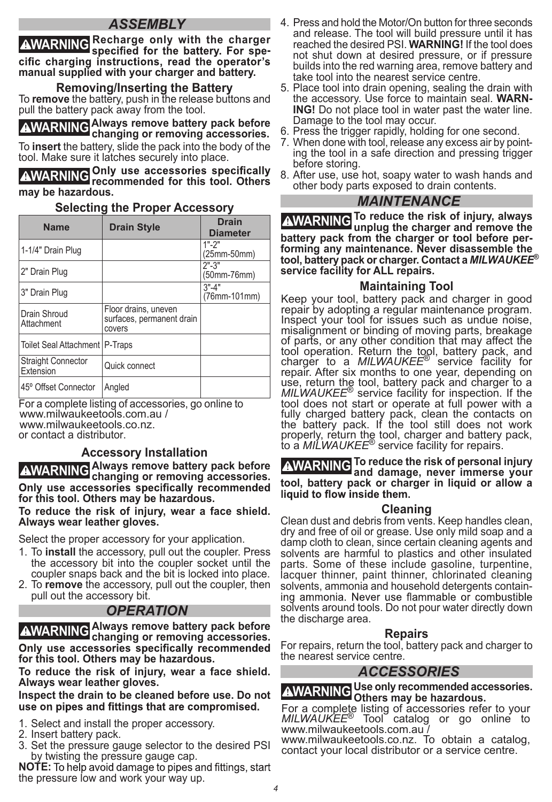# *ASSEMBLY*

**AWARNING** Recharge only with the charger specified for the battery. For specific charging instructions, read the operator's **manual supplied with your charger and battery.**

**Removing/Inserting the Battery** To **remove** the battery, push in the release buttons and pull the battery pack away from the tool.

**WARNING Always remove battery pack before changing or removing accessories.**  To **insert** the battery, slide the pack into the body of the tool. Make sure it latches securely into place.

**WARNING recommended for this tool. Others may be hazardous.**

### **Selecting the Proper Accessory**

| <b>Name</b>                            | <b>Drain Style</b>                                          | <b>Drain</b><br><b>Diameter</b> |
|----------------------------------------|-------------------------------------------------------------|---------------------------------|
| 1-1/4" Drain Plug                      |                                                             | $1" - 2"$<br>(25mm-50mm)        |
| 2" Drain Plug                          |                                                             | $2" - 3"$<br>(50mm-76mm)        |
| 3" Drain Plug                          |                                                             | $3" - 4"$<br>(76mm-101mm)       |
| Drain Shroud<br>Attachment             | Floor drains, uneven<br>surfaces, permanent drain<br>covers |                                 |
| Toilet Seal Attachment   P-Traps       |                                                             |                                 |
| <b>Straight Connector</b><br>Extension | Quick connect                                               |                                 |
| 45° Offset Connector                   | Angled                                                      |                                 |

For a complete listing of accessories, go online to or contact a distributor. www.milwaukeetools.com.au / www.milwaukeetools.co.nz.

### **Accessory Installation**

**WARNING Always remove battery pack before changing or removing accessories.**  Only use accessories specifically recommended **for this tool. Others may be hazardous.**

**To reduce the risk of injury, wear a face shield. Always wear leather gloves.**

Select the proper accessory for your application.

- 1. To **install** the accessory, pull out the coupler. Press the accessory bit into the coupler socket until the coupler snaps back and the bit is locked into place.
- 2. To **remove** the accessory, pull out the coupler, then pull out the accessory bit.

### *OPERATION*

**WARNING Always remove battery pack before changing or removing accessories.**  Only use accessories specifically recommended **for this tool. Others may be hazardous.**

**To reduce the risk of injury, wear a face shield. Always wear leather gloves.**

**Inspect the drain to be cleaned before use. Do not**  use on pipes and fittings that are compromised.

- 1. Select and install the proper accessory.
- 2. Insert battery pack.
- 3. Set the pressure gauge selector to the desired PSI by twisting the pressure gauge cap.

**NOTE:** To help avoid damage to pipes and fittings, start the pressure low and work your way up.

- 4. Press and hold the Motor/On button for three seconds and release. The tool will build pressure until it has reached the desired PSI. **WARNING!** If the tool does not shut down at desired pressure, or if pressure builds into the red warning area, remove battery and take tool into the nearest service centre.
- 5. Place tool into drain opening, sealing the drain with the accessory. Use force to maintain seal. **WARN-ING!** Do not place tool in water past the water line. Damage to the tool may occur.
- 6. Press the trigger rapidly, holding for one second.
- 7. When done with tool, release any excess air by pointing the tool in a safe direction and pressing trigger before storing.
- 8. After use, use hot, soapy water to wash hands and other body parts exposed to drain contents.

#### *MAINTENANCE*

**WARNING To reduce the risk of injury, always unplug the charger and remove the battery pack from the charger or tool before performing any maintenance. Never disassemble the tool, battery pack or charger. Contact a** *MILWAUKEE***® service facility for ALL repairs.**

### **Maintaining Tool**

Keep your tool, battery pack and charger in good repair by adopting a regular maintenance program. Inspect your tool for issues such as undue noise, misalignment or binding of moving parts, breakage of parts, or any other condition that may affect the tool operation. Return the tool, battery pack, and charger to a *MILWAUKEE*® service facility for repair. After six months to one year, depending on use, return the tool, battery pack and charger to a *MILWAUKEE*® service facility for inspection. If the tool does not start or operate at full power with a fully charged battery pack, clean the contacts on the battery pack. If the tool still does not work properly, return the tool, charger and battery pack, to a *MILWAUKEE*® service facility for repairs.

**WARNING To reduce the risk of personal injury and damage, never immerse your tool, battery pack or charger in liquid or allow a** 

#### **Cleaning**

Clean dust and debris from vents. Keep handles clean, dry and free of oil or grease. Use only mild soap and a damp cloth to clean, since certain cleaning agents and solvents are harmful to plastics and other insulated parts. Some of these include gasoline, turpentine, lacquer thinner, paint thinner, chlorinated cleaning solvents, ammonia and household detergents containsolvents around tools. Do not pour water directly down the discharge area.

### **Repairs**

For repairs, return the tool, battery pack and charger to the nearest service centre.

### *ACCESSORIES*

**WARNING Use only recommended accessories. Others may be hazardous.**

For a complete listing of accessories refer to your *MILWAUKEE*® Tool catalog or go online to www.milwaukeetools.com.au /

www.milwaukeetools.co.nz. To obtain a catalog, contact your local distributor or a service centre.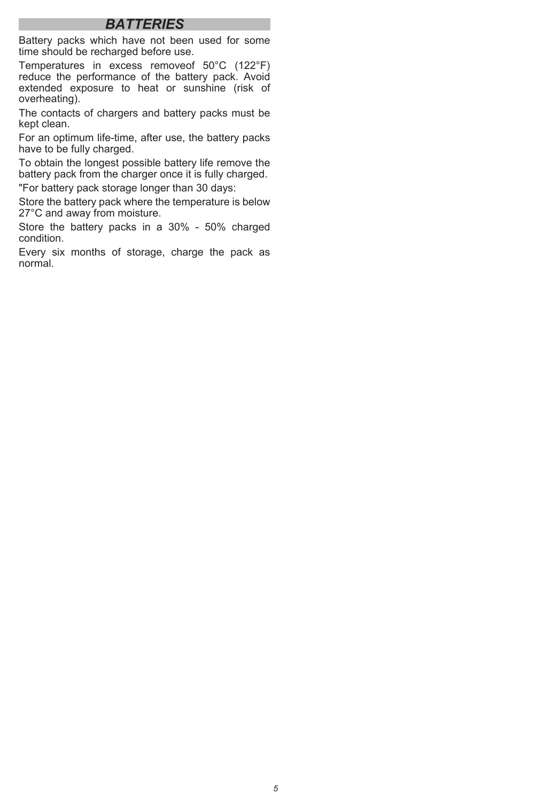# *BATTERIES*

Battery packs which have not been used for some time should be recharged before use.

Temperatures in excess removeof 50°C (122°F) reduce the performance of the battery pack. Avoid extended exposure to heat or sunshine (risk of overheating).

The contacts of chargers and battery packs must be kept clean.

For an optimum life-time, after use, the battery packs have to be fully charged.

To obtain the longest possible battery life remove the battery pack from the charger once it is fully charged.

"For battery pack storage longer than 30 days:

Store the battery pack where the temperature is below 27°C and away from moisture.

Store the battery packs in a 30% - 50% charged condition.

Every six months of storage, charge the pack as normal.